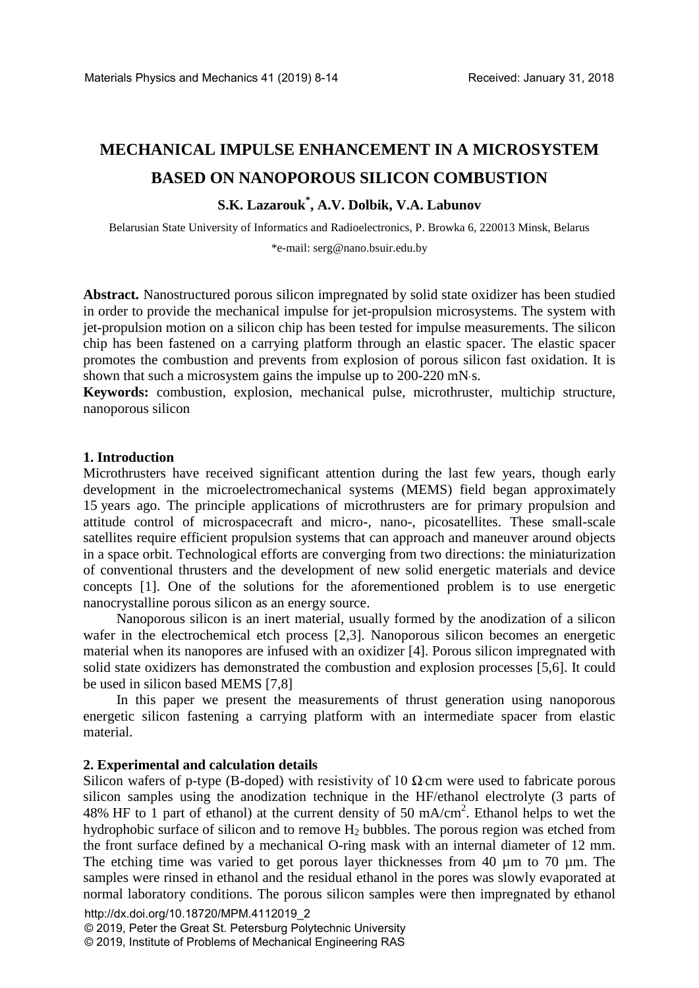# **MECHANICAL IMPULSE ENHANCEMENT IN A MICROSYSTEM BASED ON NANOPOROUS SILICON COMBUSTION**

## **S.K. Lazarouk\* , A.V. Dolbik, V.A. Labunov**

Belarusian State University of Informatics and Radioelectronics, P. Browka 6, 220013 Minsk, Belarus

\*e-mail: serg@nano.bsuir.edu.by

**Abstract.** Nanostructured porous silicon impregnated by solid state oxidizer has been studied in order to provide the mechanical impulse for jet-propulsion microsystems. The system with jet-propulsion motion on a silicon chip has been tested for impulse measurements. The silicon chip has been fastened on a carrying platform through an elastic spacer. The elastic spacer promotes the combustion and prevents from explosion of porous silicon fast oxidation. It is shown that such a microsystem gains the impulse up to 200-220 mN·s.

**Keywords:** combustion, explosion, mechanical pulse, microthruster, multichip structure, nanoporous silicon

#### **1. Introduction**

Microthrusters have received significant attention during the last few years, though early development in the microelectromechanical systems (MEMS) field began approximately 15 years ago. The principle applications of microthrusters are for primary propulsion and attitude control of microspacecraft and micro-, nano-, picosatellites. These small-scale satellites require efficient propulsion systems that can approach and maneuver around objects in a space orbit. Technological efforts are converging from two directions: the miniaturization of conventional thrusters and the development of new solid energetic materials and device concepts [1]. One of the solutions for the aforementioned problem is to use energetic nanocrystalline porous silicon as an energy source.

Nanoporous silicon is an inert material, usually formed by the anodization of a silicon wafer in the electrochemical etch process [2,3]. Nanoporous silicon becomes an energetic material when its nanopores are infused with an oxidizer [4]. Porous silicon impregnated with solid state oxidizers has demonstrated the combustion and explosion processes [5,6]. It could be used in silicon based MEMS [7,8]

In this paper we present the measurements of thrust generation using nanoporous energetic silicon fastening a carrying platform with an intermediate spacer from elastic material.

#### **2. Experimental and calculation details**

Silicon wafers of p-type (B-doped) with resistivity of 10  $\Omega$ ⋅cm were used to fabricate porous silicon samples using the anodization technique in the HF/ethanol electrolyte (3 parts of 48% HF to 1 part of ethanol) at the current density of 50 mA/cm<sup>2</sup>. Ethanol helps to wet the hydrophobic surface of silicon and to remove  $H_2$  bubbles. The porous region was etched from the front surface defined by a mechanical O-ring mask with an internal diameter of 12 mm. The etching time was varied to get porous layer thicknesses from 40 µm to 70 µm. The samples were rinsed in ethanol and the residual ethanol in the pores was slowly evaporated at normal laboratory conditions. The porous silicon samples were then impregnated by ethanol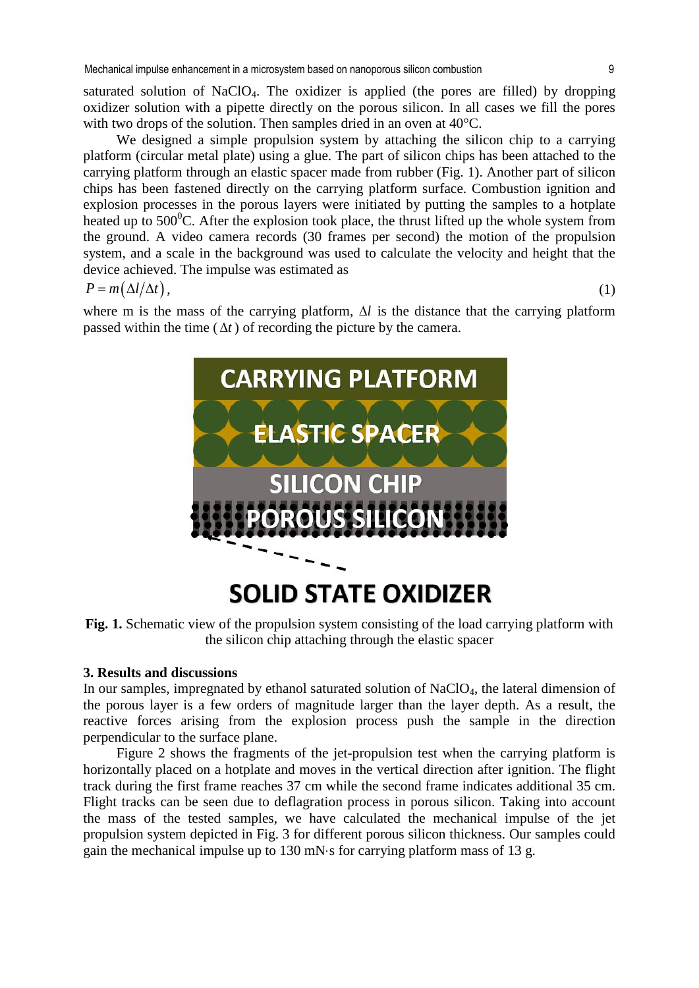saturated solution of NaClO4. The oxidizer is applied (the pores are filled) by dropping oxidizer solution with a pipette directly on the porous silicon. In all cases we fill the pores with two drops of the solution. Then samples dried in an oven at 40<sup>o</sup>C.

We designed a simple propulsion system by attaching the silicon chip to a carrying platform (circular metal plate) using a glue. The part of silicon chips has been attached to the carrying platform through an elastic spacer made from rubber (Fig. 1). Another part of silicon chips has been fastened directly on the carrying platform surface. Combustion ignition and explosion processes in the porous layers were initiated by putting the samples to a hotplate heated up to  $500^{\circ}$ C. After the explosion took place, the thrust lifted up the whole system from the ground. A video camera records (30 frames per second) the motion of the propulsion system, and a scale in the background was used to calculate the velocity and height that the device achieved. The impulse was estimated as

$$
P = m(\Delta l/\Delta t),\tag{1}
$$

where m is the mass of the carrying platform, ∆*l* is the distance that the carrying platform passed within the time ( $\Delta t$ ) of recording the picture by the camera.



**Fig. 1.** Schematic view of the propulsion system consisting of the load carrying platform with the silicon chip attaching through the elastic spacer

#### **3. Results and discussions**

In our samples, impregnated by ethanol saturated solution of NaClO4, the lateral dimension of the porous layer is a few orders of magnitude larger than the layer depth. As a result, the reactive forces arising from the explosion process push the sample in the direction perpendicular to the surface plane.

Figure 2 shows the fragments of the jet-propulsion test when the carrying platform is horizontally placed on a hotplate and moves in the vertical direction after ignition. The flight track during the first frame reaches 37 cm while the second frame indicates additional 35 cm. Flight tracks can be seen due to deflagration process in porous silicon. Taking into account the mass of the tested samples, we have calculated the mechanical impulse of the jet propulsion system depicted in Fig. 3 for different porous silicon thickness. Our samples could gain the mechanical impulse up to 130 mN·s for carrying platform mass of 13 g.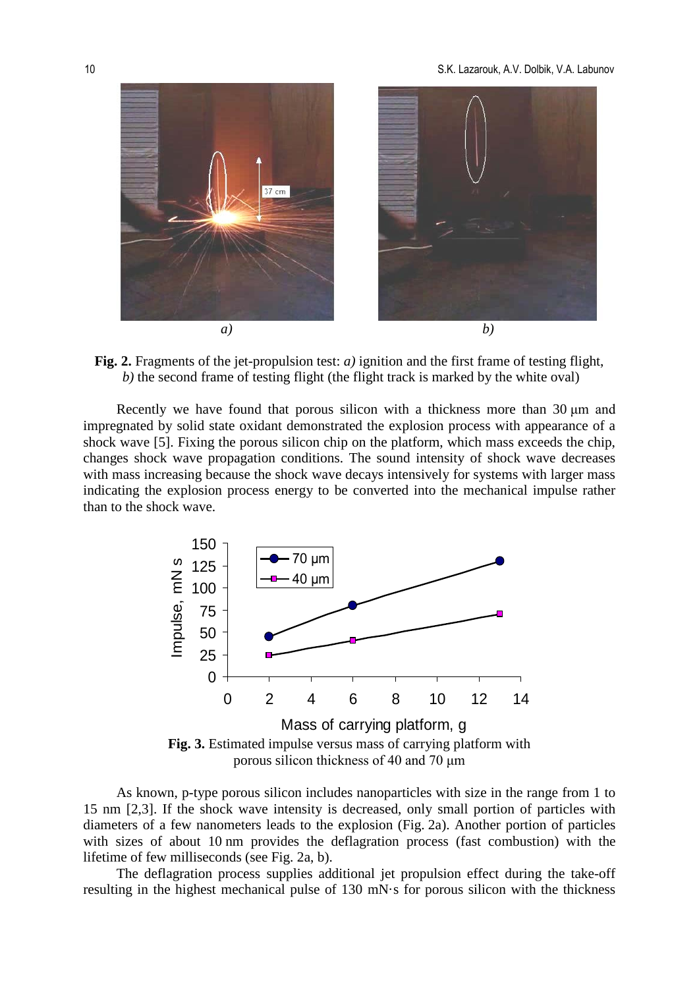

**Fig. 2.** Fragments of the jet-propulsion test: *a)* ignition and the first frame of testing flight, *b)* the second frame of testing flight (the flight track is marked by the white oval)

Recently we have found that porous silicon with a thickness more than 30 μm and impregnated by solid state oxidant demonstrated the explosion process with appearance of a shock wave [5]. Fixing the porous silicon chip on the platform, which mass exceeds the chip, changes shock wave propagation conditions. The sound intensity of shock wave decreases with mass increasing because the shock wave decays intensively for systems with larger mass indicating the explosion process energy to be converted into the mechanical impulse rather than to the shock wave.



As known, p-type porous silicon includes nanoparticles with size in the range from 1 to 15 nm [2,3]. If the shock wave intensity is decreased, only small portion of particles with diameters of a few nanometers leads to the explosion (Fig. 2a). Another portion of particles with sizes of about 10 nm provides the deflagration process (fast combustion) with the lifetime of few milliseconds (see Fig. 2a, b).

The deflagration process supplies additional jet propulsion effect during the take-off resulting in the highest mechanical pulse of 130 mN·s for porous silicon with the thickness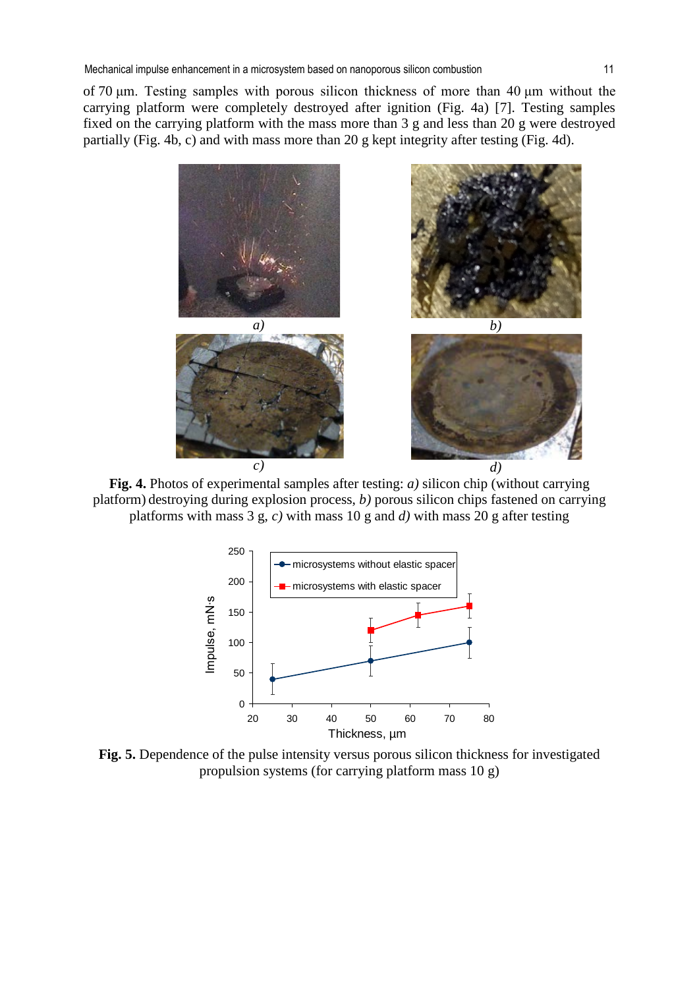of 70 μm. Testing samples with porous silicon thickness of more than 40 μm without the carrying platform were completely destroyed after ignition (Fig. 4a) [7]. Testing samples fixed on the carrying platform with the mass more than 3 g and less than 20 g were destroyed partially (Fig. 4b, c) and with mass more than 20 g kept integrity after testing (Fig. 4d).



**Fig. 4.** Photos of experimental samples after testing: *a)* silicon chip (without carrying platform) destroying during explosion process, *b)* porous silicon chips fastened on carrying platforms with mass 3 g, *c)* with mass 10 g and *d)* with mass 20 g after testing



**Fig. 5.** Dependence of the pulse intensity versus porous silicon thickness for investigated propulsion systems (for carrying platform mass 10 g)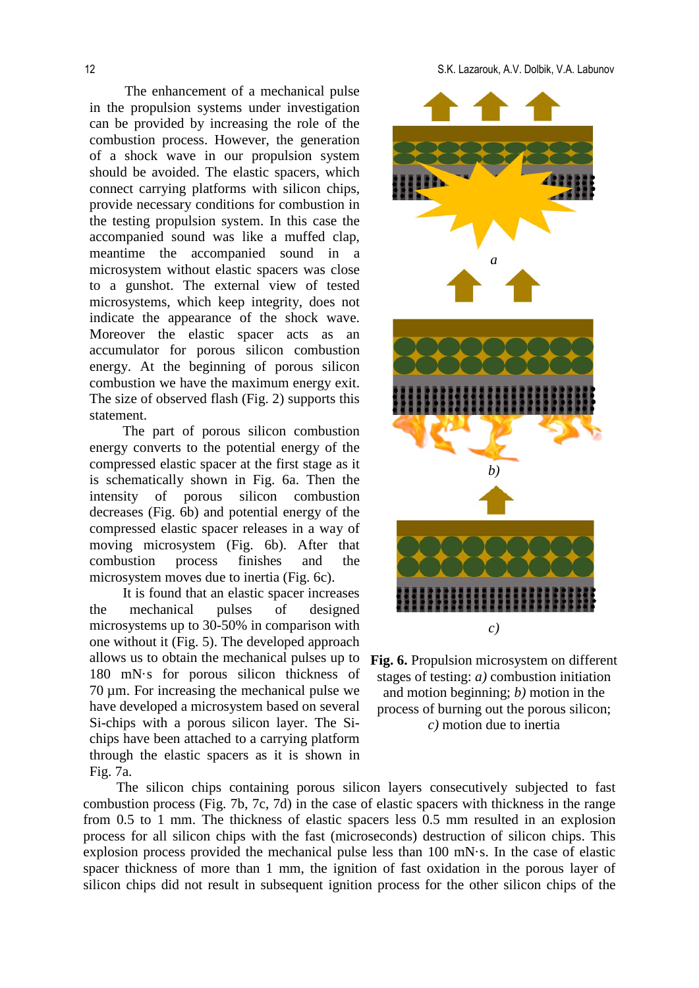The enhancement of a mechanical pulse in the propulsion systems under investigation can be provided by increasing the role of the combustion process. However, the generation of a shock wave in our propulsion system should be avoided. The elastic spacers, which connect carrying platforms with silicon chips, provide necessary conditions for combustion in the testing propulsion system. In this case the accompanied sound was like a muffed clap, meantime the accompanied sound in a microsystem without elastic spacers was close to a gunshot. The external view of tested microsystems, which keep integrity, does not indicate the appearance of the shock wave. Moreover the elastic spacer acts as an accumulator for porous silicon combustion energy. At the beginning of porous silicon combustion we have the maximum energy exit. The size of observed flash (Fig. 2) supports this statement.

The part of porous silicon combustion energy converts to the potential energy of the compressed elastic spacer at the first stage as it is schematically shown in Fig. 6a. Then the intensity of porous silicon combustion decreases (Fig. 6b) and potential energy of the compressed elastic spacer releases in a way of moving microsystem (Fig. 6b). After that combustion process finishes and the microsystem moves due to inertia (Fig. 6c).

It is found that an elastic spacer increases the mechanical pulses of designed microsystems up to 30-50% in comparison with one without it (Fig. 5). The developed approach allows us to obtain the mechanical pulses up to 180 mN·s for porous silicon thickness of 70 µm. For increasing the mechanical pulse we have developed a microsystem based on several Si-chips with a porous silicon layer. The Sichips have been attached to a carrying platform through the elastic spacers as it is shown in Fig. 7a.



**Fig. 6.** Propulsion microsystem on different stages of testing: *a)* combustion initiation and motion beginning; *b)* motion in the process of burning out the porous silicon; *c)* motion due to inertia

The silicon chips containing porous silicon layers consecutively subjected to fast combustion process (Fig. 7b, 7c, 7d) in the case of elastic spacers with thickness in the range from 0.5 to 1 mm. The thickness of elastic spacers less 0.5 mm resulted in an explosion process for all silicon chips with the fast (microseconds) destruction of silicon chips. This explosion process provided the mechanical pulse less than 100 mN·s. In the case of elastic spacer thickness of more than 1 mm, the ignition of fast oxidation in the porous layer of silicon chips did not result in subsequent ignition process for the other silicon chips of the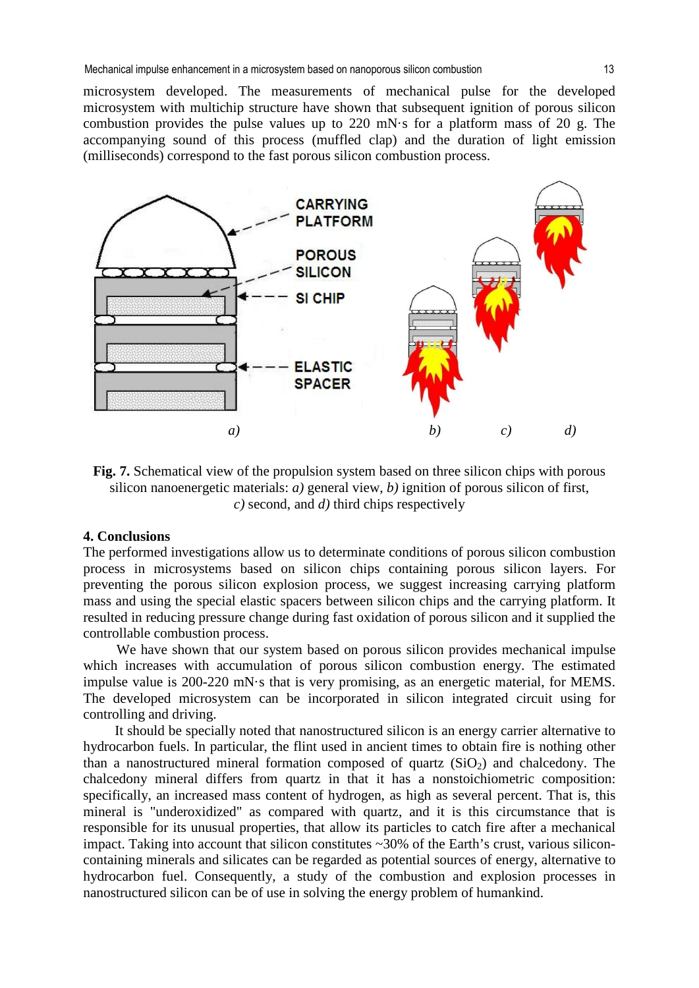microsystem developed. The measurements of mechanical pulse for the developed microsystem with multichip structure have shown that subsequent ignition of porous silicon combustion provides the pulse values up to 220 mN $\cdot$ s for a platform mass of 20 g. The accompanying sound of this process (muffled clap) and the duration of light emission (milliseconds) correspond to the fast porous silicon combustion process.



**Fig. 7.** Schematical view of the propulsion system based on three silicon chips with porous silicon nanoenergetic materials: *a)* general view, *b)* ignition of porous silicon of first, *c)* second, and *d)* third chips respectively

#### **4. Conclusions**

The performed investigations allow us to determinate conditions of porous silicon combustion process in microsystems based on silicon chips containing porous silicon layers. For preventing the porous silicon explosion process, we suggest increasing carrying platform mass and using the special elastic spacers between silicon chips and the carrying platform. It resulted in reducing pressure change during fast oxidation of porous silicon and it supplied the controllable combustion process.

We have shown that our system based on porous silicon provides mechanical impulse which increases with accumulation of porous silicon combustion energy. The estimated impulse value is 200-220 mN·s that is very promising, as an energetic material, for MEMS. The developed microsystem can be incorporated in silicon integrated circuit using for controlling and driving.

It should be specially noted that nanostructured silicon is an energy carrier alternative to hydrocarbon fuels. In particular, the flint used in ancient times to obtain fire is nothing other than a nanostructured mineral formation composed of quartz  $(SiO<sub>2</sub>)$  and chalcedony. The chalcedony mineral differs from quartz in that it has a nonstoichiometric composition: specifically, an increased mass content of hydrogen, as high as several percent. That is, this mineral is "underoxidized" as compared with quartz, and it is this circumstance that is responsible for its unusual properties, that allow its particles to catch fire after a mechanical impact. Taking into account that silicon constitutes ~30% of the Earth's crust, various siliconcontaining minerals and silicates can be regarded as potential sources of energy, alternative to hydrocarbon fuel. Consequently, a study of the combustion and explosion processes in nanostructured silicon can be of use in solving the energy problem of humankind.